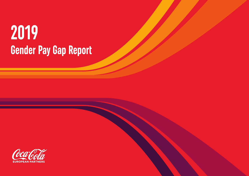# **2019 Gender Pay Gap Report**

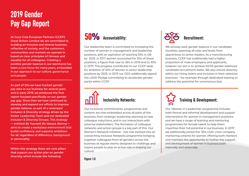### **2019 Gender Pay Gap Report**

At Coca-Cola European Partners (CCEP) Great Britain Limited we are committed to building an inclusive and diverse business, reflective of society, and the customers, communities and markets we operate in based on clear principles of fairness and equality for all colleagues. Creating a positive gender balance in our workforce has been a core focus for many years, embedded in our approach to our culture, governance and people.

As part of this we have tracked gender pay data in our business for several years and in early 2018, we produced the first report focused specifically on our gender pay gap. Since then we have continued to develop and expand our efforts to improve gender balance, as part of a revamped Inclusion & Diversity strategy driven by the Senior Leadership Team and our dedicated Inclusion & Diversity Groups. This strategy — entitled Be Yourself, Be Valued, Belong aims to create a workplace environment that builds confidence and supports ambitions for all, regardless of difference, background or personality.

Within this strategy there are core pillars that support our action plan on gender diversity, which include the following:

## 50% **Accountability:**

Our leadership team is committed to increasing the number of women in management and leadership positions, with an aspiration of reaching 50% in GB by 2025. In 2017 women accounted for 35% of these positions, a figure that rose to 38% in 2018 and to 40% in 2019. This progress contributes to our CCEP-wide EU ambition of 40% of women in senior leadership positions by 2025. In 2019, our CEO additionally signed the LEAD Pledge committing to accelerate gender parity within CCEP.



Our inclusivity commitments, programmes and content are now embedded across all parts of the business, from strategic leadership planning to new colleague inductions, and in our interactions with external stakeholders. The formation of colleague networks and action groups is a key part of this. Our Women's Network initiative - has now evolved into an overarching Inclusive Networks programme bringing together colleagues from all genders across the business at regular events designed to challenge and inspire people to play an active role in shaping our culture.

**Figure 1.0**



We actively seek gender balance in our candidate shortlists, spanning all roles and levels from apprentices to senior leaders. As a manufacturing business, CCEP has traditionally had a higher proportion of male employees and applicants, however our aim is to achieve 50/50 gender balanced candidate recruitment slates. We also ensure diversity within our hiring teams and inclusion in their selection practices – for example through dedicated training to address the potential for unconscious bias.



Our 'Women in Leadership' programme includes both formal and informal development and support interventions for women in management positions and we have a range of learning and mentoring programmes for female talent to help them maximise their full potential in our business. In 2019 we additionally joined the '30% Club' cross-company mentoring scheme for women offering both mentors and mentees the opportunity to further the support and development of women in business both internally and externally.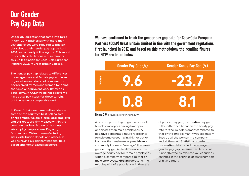### **Our Gender Pay Gap Data**

Under UK legislation that came into force in April 2017, businesses with more than 250 employees were required to publish data about their gender pay gap by April 2018, and annually following this. This report reflects the calculations required under this UK legislation for Coca-Cola European Partners (CCEP) Great Britain Limited.

The gender pay gap relates to differences in average male and female pay within an organisation and does not compare the pay received by men and women for doing the same or equivalent work (known as equal pay). At CCEP we do not believe we have equal pay issues for those carrying out the same or comparable work.

In Great Britain, we make, sell and deliver some of the country's best-selling soft drinks brands. We are a large local employer and our roots are firmly based within the communities in which we do business. We employ people across England. Scotland and Wales in manufacturing sites, distribution depots and offices, as well as having a significant national fieldbased and home-based salesforce.

**We have continued to track the gender pay gap data for Coca-Cola European Partners (CCEP) Great Britain Limited in line with the government regulations first launched in 2017, and based on this methodology the headline figures for 2019 are listed below:** 

|               | <b>Gender Pay Gap (%)</b> | <b>Gender Bonus Pay Gap (%)</b> |
|---------------|---------------------------|---------------------------------|
| <b>Median</b> | YT.                       | <b>737</b>                      |
| Mean          | 0.8                       |                                 |

**Figure 2.0** Figures as of 5th April 2019

A positive percentage figure represents female employees having lower pay or bonuses than male employees. A negative percentage figure represents female employees having higher pay or bonuses than male employees. **Mean** is commonly known as "average"; the **mean** gender pay gap is the difference in the average hourly pay for female employees within a company compared to that of male employees. **Median** represents the middle point of a population; in the case

of gender pay gap, the **median** pay gap is the difference between the hourly pay rate for the 'middle woman' compared to that of the 'middle man' if you separately lined up all the women in a company and all the men. Statisticians prefer to use **median** data to find the average gender pay gap because this data point is not affected by extreme values such as changes in the earnings of small numbers of high earners.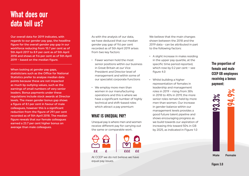### **What does our data tell us?**

Our overall data for 2019 indicates, with regards to our gender pay gap, the headline figure for the overall gender pay gap in our workforce reducing from 10.7 per cent as of 5th April 2017 to 8.9 per cent as of 5th April 2018 and shows at 9.6 per cent as of 5th April 2019 – based on the median figure.

When looking at gender pay gaps, statisticians such as the Office for National Statistics prefer to analyse median data points because these are not impacted as much by outlying values, such as the earnings of small numbers of very senior leaders. Bonus payments under these regulations include stock awards at Director levels. The mean gender bonus gap shows a figure of 8.1 per cent in favour of male colleagues, however this is a significant reduction from the figure of 29.1 per cent recorded as of 5th April 2018. The median figure reveals that our female colleagues earned a 23.7 per cent higher bonus on average than male colleagues.

#### As with the analysis of our data, we have deduced that our median gender pay gap of 9.6 per cent recorded as of 5th April 2019 arises from two key factors:

- Fewer women hold the most senior positions within our business in Great Britain at our Vice President and Director level of management and within some of our specialist corporate functions
- We employ more men than women in our manufacturing operations and this is where we have a significant number of highly technical and shift-based roles which attract a pay premium

#### **WHAT IS UNEQUAL PAY?**

Unequal pay is where men and women receive different pay for carrying out the same or comparable work.



At CCEP we do not believe we have equal pay issues.

We believe that the main changes shown between the 2018 and the 2019 data - can be attributed in part to the following factors:

- A slight increase in males residing in the upper pay quartile, at the specific time period reported, which rose by 0.2 per cent – see figure 4.0
- Whilst building a higher representation of females in leadership and management roles in 2019 – rising from 38% in 2018 to 40% in 2019, the more senior roles remain held by more men than women. Our increase in gender balance within our management levels provides a good future talent pipeline and shows encouraging progress as we build towards our aspiration of increasing this toward 50% in GB by 2025, as indicated in Figure 1.0

### **The proportion of female and male CCEP GB employees receiving a bonus payment:**

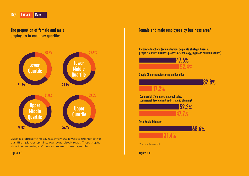**The proportion of female and male employees in each pay quartile:**



Quartiles represent the pay rates from the lowest to the highest for our GB employees, split into four equal sized groups. These graphs show the percentage of men and women in each quartile.

**Female and male employees by business area\***

**Corporate functions (administration, corporate strategy, finance, people & culture, business process & technology, legal and communications)**